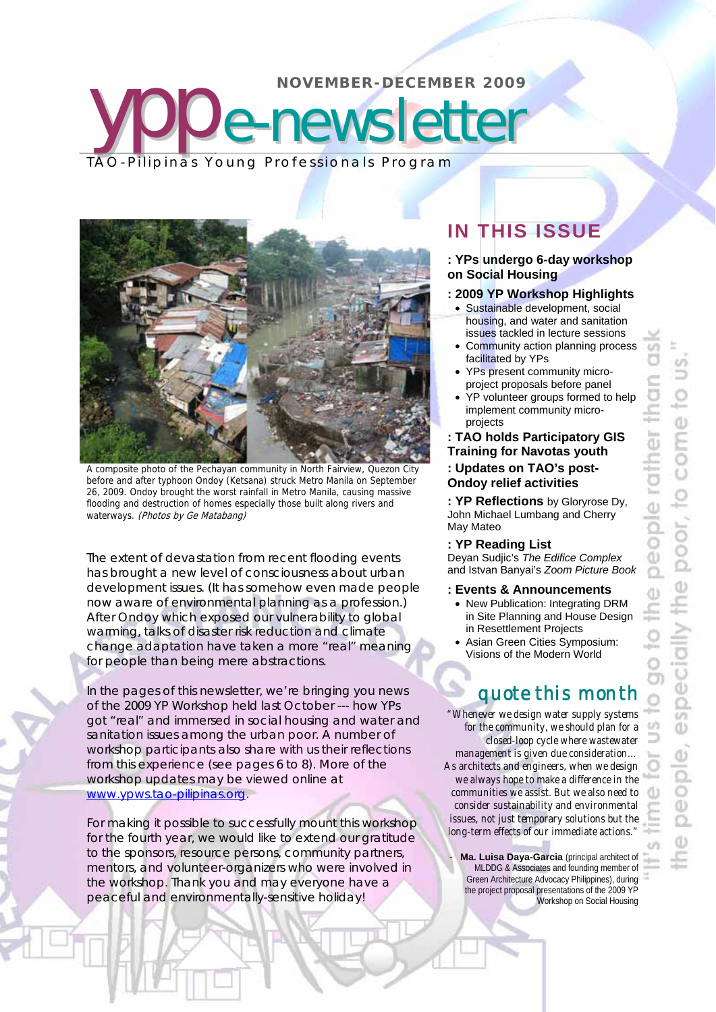# **NOVEMBER-DECEMBER 2009 Ve-newsletter** TAO-Pilipinas Young Professionals Program



A composite photo of the Pechayan community in North Fairview, Quezon City before and after typhoon Ondoy (Ketsana) struck Metro Manila on September 26, 2009. Ondoy brought the worst rainfall in Metro Manila, causing massive flooding and destruction of homes especially those built along rivers and waterways. (Photos by Ge Matabang)

The extent of devastation from recent flooding events has brought a new level of consciousness about urban development issues. (It has somehow even made people now aware of environmental planning as a profession.) After *Ondoy* which exposed our vulnerability to global warming, talks of disaster risk reduction and climate change adaptation have taken a more "real" meaning for people than being mere abstractions.

In the pages of this newsletter, we're bringing you news of the 2009 YP Workshop held last October --- how YPs got "real" and immersed in social housing and water and sanitation issues among the urban poor. A number of workshop participants also share with us their reflections from this experience (*see pages 6 to 8*). More of the workshop updates may be viewed online at www.ypws.tao-pilipinas.org.

For making it possible to successfully mount this workshop for the fourth year, we would like to extend our gratitude to the sponsors, resource persons, community partners, mentors, and volunteer-organizers who were involved in the workshop. Thank you and may everyone have a peaceful and environmentally-sensitive holiday!

# **IN THIS ISSUE**

## **: YPs undergo 6-day workshop on Social Housing**

## **: 2009 YP Workshop Highlights**

- Sustainable development, social housing, and water and sanitation issues tackled in lecture sessions
- Community action planning process facilitated by YPs
- YPs present community microproject proposals before panel
- YP volunteer groups formed to help implement community microprojects

## **: TAO holds Participatory GIS Training for Navotas youth**

## **: Updates on TAO's post-Ondoy relief activities**

**: YP Reflections** by Gloryrose Dy, John Michael Lumbang and Cherry May Mateo

# **: YP Reading List**

Deyan Sudjic's *The Edifice Complex*  and Istvan Banyai's *Zoom Picture Book*

# **: Events & Announcements**

- New Publication: Integrating DRM in Site Planning and House Design in Resettlement Projects
- Asian Green Cities Symposium: Visions of the Modern World

# quote this month

*"Whenever we design water supply systems for the community, we should plan for a closed-loop cycle where wastewater management is given due consideration… As architects and engineers, when we design we always hope to make a difference in the communities we assist. But we also need to consider sustainability and environmental issues, not just temporary solutions but the long-term effects of our immediate actions."* 

Ma. Luisa Daya-Garcia (principal architect of MLDDG & Associates and founding member of Green Architecture Advocacy Philippines), during the project proposal presentations of the 2009 YP Workshop on Social Housing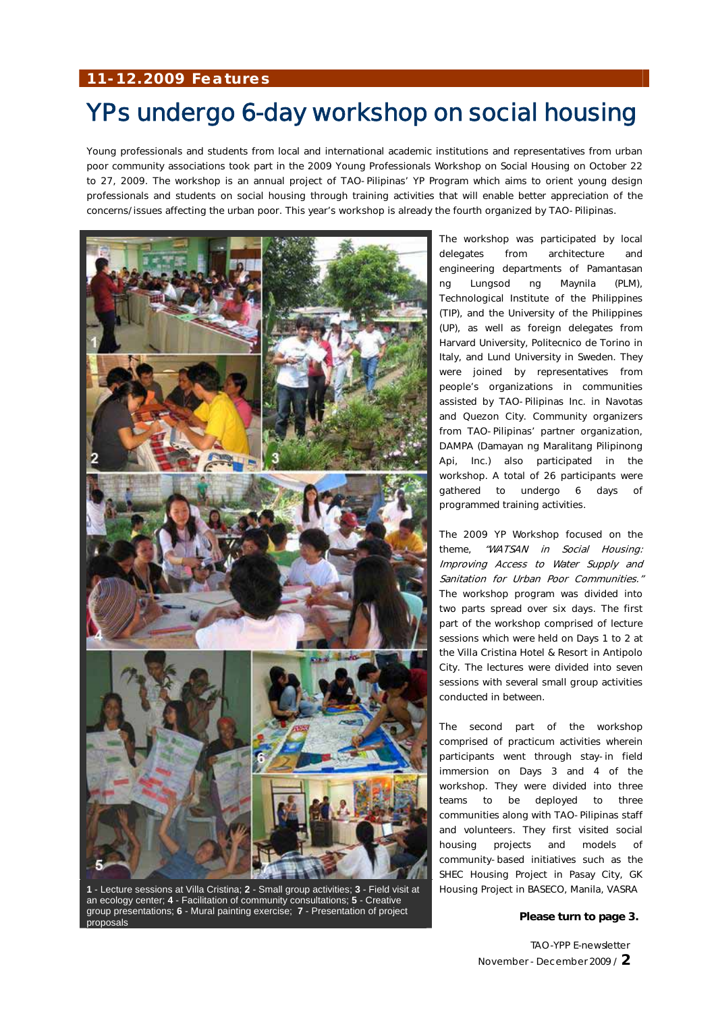# **11-12.2009 Features**

# **YPs undergo 6-day workshop on social housing**

Young professionals and students from local and international academic institutions and representatives from urban poor community associations took part in the 2009 Young Professionals Workshop on Social Housing on October 22 to 27, 2009. The workshop is an annual project of TAO-Pilipinas' YP Program which aims to orient young design professionals and students on social housing through training activities that will enable better appreciation of the concerns/issues affecting the urban poor. This year's workshop is already the fourth organized by TAO-Pilipinas.



**1** - Lecture sessions at Villa Cristina; **2** - Small group activities; **3** - Field visit at an ecology center; **4** - Facilitation of community consultations; **5** - Creative group presentations; **6** - Mural painting exercise; **7** - Presentation of project proposals

The workshop was participated by local delegates from architecture and engineering departments of Pamantasan ng Lungsod ng Maynila (PLM), Technological Institute of the Philippines (TIP), and the University of the Philippines (UP), as well as foreign delegates from Harvard University, Politecnico de Torino in Italy, and Lund University in Sweden. They were joined by representatives from people's organizations in communities assisted by TAO-Pilipinas Inc. in Navotas and Quezon City. Community organizers from TAO-Pilipinas' partner organization, DAMPA (Damayan ng Maralitang Pilipinong Api, Inc.) also participated in the workshop. A total of 26 participants were gathered to undergo 6 days of programmed training activities.

The 2009 YP Workshop focused on the theme, "WATSAN in Social Housing: Improving Access to Water Supply and Sanitation for Urban Poor Communities." The workshop program was divided into two parts spread over six days. The first part of the workshop comprised of lecture sessions which were held on Days 1 to 2 at the Villa Cristina Hotel & Resort in Antipolo City. The lectures were divided into seven sessions with several small group activities conducted in between.

The second part of the workshop comprised of practicum activities wherein participants went through stay-in field immersion on Days 3 and 4 of the workshop. They were divided into three teams to be deployed to three communities along with TAO-Pilipinas staff and volunteers. They first visited social housing projects and models of community-based initiatives such as the SHEC Housing Project in Pasay City, GK Housing Project in BASECO, Manila, VASRA

#### **Please turn to page 3.**

TAO-YPP E-newsletter November - December 2009 / **2**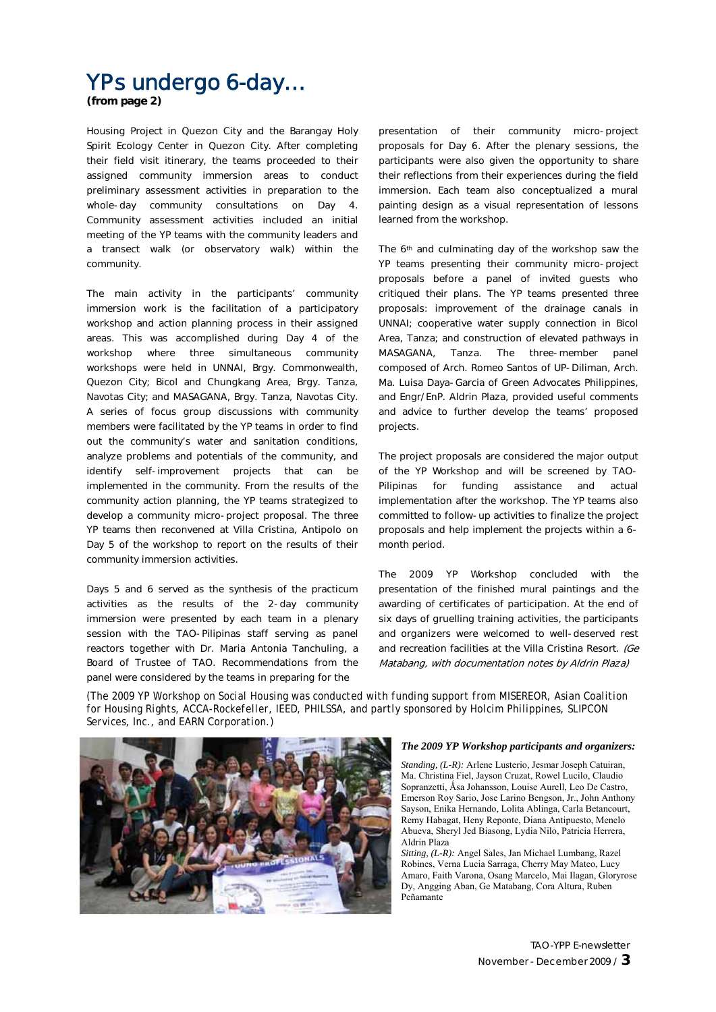# **YPs undergo 6-day…**

**(from page 2)** 

Housing Project in Quezon City and the Barangay Holy Spirit Ecology Center in Quezon City. After completing their field visit itinerary, the teams proceeded to their assigned community immersion areas to conduct preliminary assessment activities in preparation to the whole-day community consultations on Day 4. Community assessment activities included an initial meeting of the YP teams with the community leaders and a transect walk (or observatory walk) within the community.

The main activity in the participants' community immersion work is the facilitation of a participatory workshop and action planning process in their assigned areas. This was accomplished during Day 4 of the workshop where three simultaneous community workshops were held in UNNAI, Brgy. Commonwealth, Quezon City; Bicol and Chungkang Area, Brgy. Tanza, Navotas City; and MASAGANA, Brgy. Tanza, Navotas City. A series of focus group discussions with community members were facilitated by the YP teams in order to find out the community's water and sanitation conditions, analyze problems and potentials of the community, and identify self-improvement projects that can be implemented in the community. From the results of the community action planning, the YP teams strategized to develop a community micro-project proposal. The three YP teams then reconvened at Villa Cristina, Antipolo on Day 5 of the workshop to report on the results of their community immersion activities.

Days 5 and 6 served as the synthesis of the practicum activities as the results of the 2-day community immersion were presented by each team in a plenary session with the TAO-Pilipinas staff serving as panel reactors together with Dr. Maria Antonia Tanchuling, a Board of Trustee of TAO. Recommendations from the panel were considered by the teams in preparing for the

presentation of their community micro-project proposals for Day 6. After the plenary sessions, the participants were also given the opportunity to share their reflections from their experiences during the field immersion. Each team also conceptualized a mural painting design as a visual representation of lessons learned from the workshop.

The 6th and culminating day of the workshop saw the YP teams presenting their community micro-project proposals before a panel of invited guests who critiqued their plans. The YP teams presented three proposals: improvement of the drainage canals in UNNAI; cooperative water supply connection in Bicol Area, Tanza; and construction of elevated pathways in MASAGANA, Tanza. The three-member panel composed of Arch. Romeo Santos of UP-Diliman, Arch. Ma. Luisa Daya-Garcia of Green Advocates Philippines, and Engr/EnP. Aldrin Plaza, provided useful comments and advice to further develop the teams' proposed projects.

The project proposals are considered the major output of the YP Workshop and will be screened by TAO-Pilipinas for funding assistance and actual implementation after the workshop. The YP teams also committed to follow-up activities to finalize the project proposals and help implement the projects within a 6 month period.

The 2009 YP Workshop concluded with the presentation of the finished mural paintings and the awarding of certificates of participation. At the end of six days of gruelling training activities, the participants and organizers were welcomed to well-deserved rest and recreation facilities at the Villa Cristina Resort. (Ge Matabang, with documentation notes by Aldrin Plaza)

*(The 2009 YP Workshop on Social Housing was conducted with funding support from MISEREOR, Asian Coalition for Housing Rights, ACCA-Rockefeller, IEED, PHILSSA, and partly sponsored by Holcim Philippines, SLIPCON Services, Inc., and EARN Corporation.)* 



#### *The 2009 YP Workshop participants and organizers:*

*Standing, (L-R):* Arlene Lusterio, Jesmar Joseph Catuiran, Ma. Christina Fiel, Jayson Cruzat, Rowel Lucilo, Claudio Sopranzetti, Åsa Johansson, Louise Aurell, Leo De Castro. Emerson Roy Sario, Jose Larino Bengson, Jr., John Anthony Sayson, Enika Hernando, Lolita Ablinga, Carla Betancourt, Remy Habagat, Heny Reponte, Diana Antipuesto, Menelo Abueva, Sheryl Jed Biasong, Lydia Nilo, Patricia Herrera, Aldrin Plaza

*Sitting, (L-R):* Angel Sales, Jan Michael Lumbang, Razel Robines, Verna Lucia Sarraga, Cherry May Mateo, Lucy Amaro, Faith Varona, Osang Marcelo, Mai Ilagan, Gloryrose Dy, Angging Aban, Ge Matabang, Cora Altura, Ruben Peñamante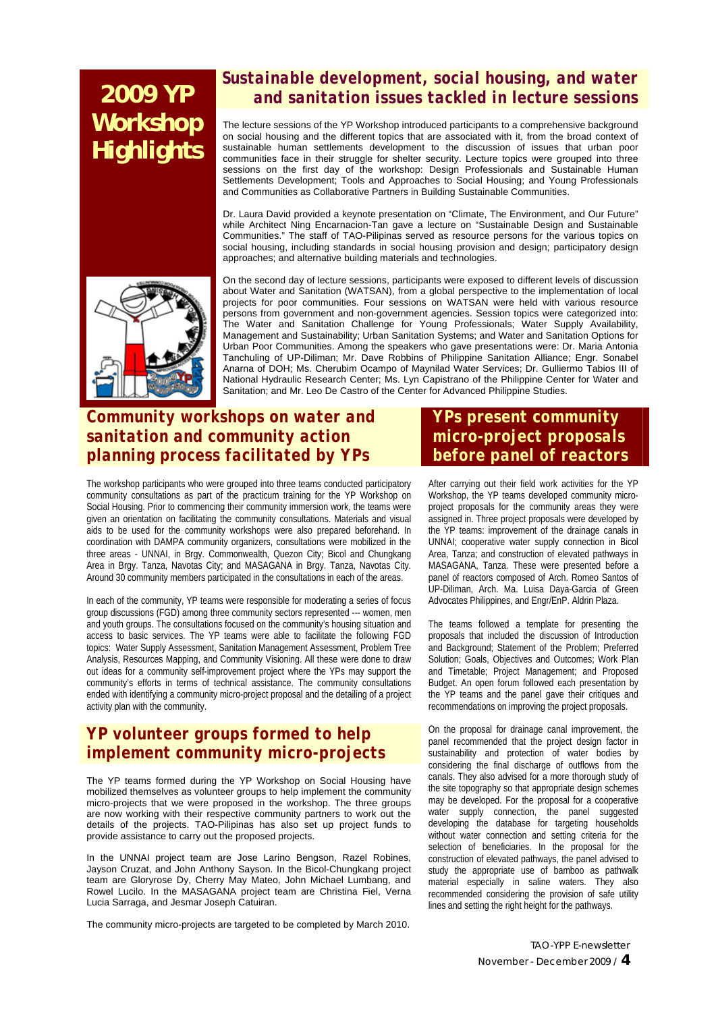# **Workshop Highlights**

# *Sustainable development, social housing, and water*  **2009 YP** *and sanitation issues tackled in lecture sessions*

The lecture sessions of the YP Workshop introduced participants to a comprehensive background on social housing and the different topics that are associated with it, from the broad context of sustainable human settlements development to the discussion of issues that urban poor communities face in their struggle for shelter security. Lecture topics were grouped into three sessions on the first day of the workshop: Design Professionals and Sustainable Human Settlements Development; Tools and Approaches to Social Housing; and Young Professionals and Communities as Collaborative Partners in Building Sustainable Communities.

Dr. Laura David provided a keynote presentation on "Climate, The Environment, and Our Future" while Architect Ning Encarnacion-Tan gave a lecture on "Sustainable Design and Sustainable Communities." The staff of TAO-Pilipinas served as resource persons for the various topics on social housing, including standards in social housing provision and design; participatory design approaches; and alternative building materials and technologies.



On the second day of lecture sessions, participants were exposed to different levels of discussion about Water and Sanitation (WATSAN), from a global perspective to the implementation of local projects for poor communities. Four sessions on WATSAN were held with various resource persons from government and non-government agencies. Session topics were categorized into: The Water and Sanitation Challenge for Young Professionals; Water Supply Availability, Management and Sustainability; Urban Sanitation Systems; and Water and Sanitation Options for Urban Poor Communities. Among the speakers who gave presentations were: Dr. Maria Antonia Tanchuling of UP-Diliman; Mr. Dave Robbins of Philippine Sanitation Alliance; Engr. Sonabel Anarna of DOH; Ms. Cherubim Ocampo of Maynilad Water Services; Dr. Gulliermo Tabios III of National Hydraulic Research Center; Ms. Lyn Capistrano of the Philippine Center for Water and Sanitation; and Mr. Leo De Castro of the Center for Advanced Philippine Studies.

*Community workshops on water and sanitation and community action planning process facilitated by YPs* 

The workshop participants who were grouped into three teams conducted participatory community consultations as part of the practicum training for the YP Workshop on Social Housing. Prior to commencing their community immersion work, the teams were given an orientation on facilitating the community consultations. Materials and visual aids to be used for the community workshops were also prepared beforehand. In coordination with DAMPA community organizers, consultations were mobilized in the three areas - UNNAI, in Brgy. Commonwealth, Quezon City; Bicol and Chungkang Area in Brgy. Tanza, Navotas City; and MASAGANA in Brgy. Tanza, Navotas City. Around 30 community members participated in the consultations in each of the areas.

In each of the community, YP teams were responsible for moderating a series of focus group discussions (FGD) among three community sectors represented --- women, men and youth groups. The consultations focused on the community's housing situation and access to basic services. The YP teams were able to facilitate the following FGD topics: Water Supply Assessment, Sanitation Management Assessment, Problem Tree Analysis, Resources Mapping, and Community Visioning. All these were done to draw out ideas for a community self-improvement project where the YPs may support the community's efforts in terms of technical assistance. The community consultations ended with identifying a community micro-project proposal and the detailing of a project activity plan with the community.

# *YP volunteer groups formed to help implement community micro-projects*

The YP teams formed during the YP Workshop on Social Housing have mobilized themselves as volunteer groups to help implement the community micro-projects that we were proposed in the workshop. The three groups are now working with their respective community partners to work out the details of the projects. TAO-Pilipinas has also set up project funds to provide assistance to carry out the proposed projects.

In the UNNAI project team are Jose Larino Bengson, Razel Robines, Jayson Cruzat, and John Anthony Sayson. In the Bicol-Chungkang project team are Gloryrose Dy, Cherry May Mateo, John Michael Lumbang, and Rowel Lucilo. In the MASAGANA project team are Christina Fiel, Verna Lucia Sarraga, and Jesmar Joseph Catuiran.

The community micro-projects are targeted to be completed by March 2010.

# *YPs present community micro-project proposals before panel of reactors*

After carrying out their field work activities for the YP Workshop, the YP teams developed community microproject proposals for the community areas they were assigned in. Three project proposals were developed by the YP teams: improvement of the drainage canals in UNNAI; cooperative water supply connection in Bicol Area, Tanza; and construction of elevated pathways in MASAGANA, Tanza. These were presented before a panel of reactors composed of Arch. Romeo Santos of UP-Diliman, Arch. Ma. Luisa Daya-Garcia of Green Advocates Philippines, and Engr/EnP. Aldrin Plaza.

The teams followed a template for presenting the proposals that included the discussion of Introduction and Background; Statement of the Problem; Preferred Solution; Goals, Objectives and Outcomes; Work Plan and Timetable; Project Management; and Proposed Budget. An open forum followed each presentation by the YP teams and the panel gave their critiques and recommendations on improving the project proposals.

On the proposal for drainage canal improvement, the panel recommended that the project design factor in sustainability and protection of water bodies by considering the final discharge of outflows from the canals. They also advised for a more thorough study of the site topography so that appropriate design schemes may be developed. For the proposal for a cooperative water supply connection, the panel suggested developing the database for targeting households without water connection and setting criteria for the selection of beneficiaries. In the proposal for the construction of elevated pathways, the panel advised to study the appropriate use of bamboo as pathwalk material especially in saline waters. They also recommended considering the provision of safe utility lines and setting the right height for the pathways.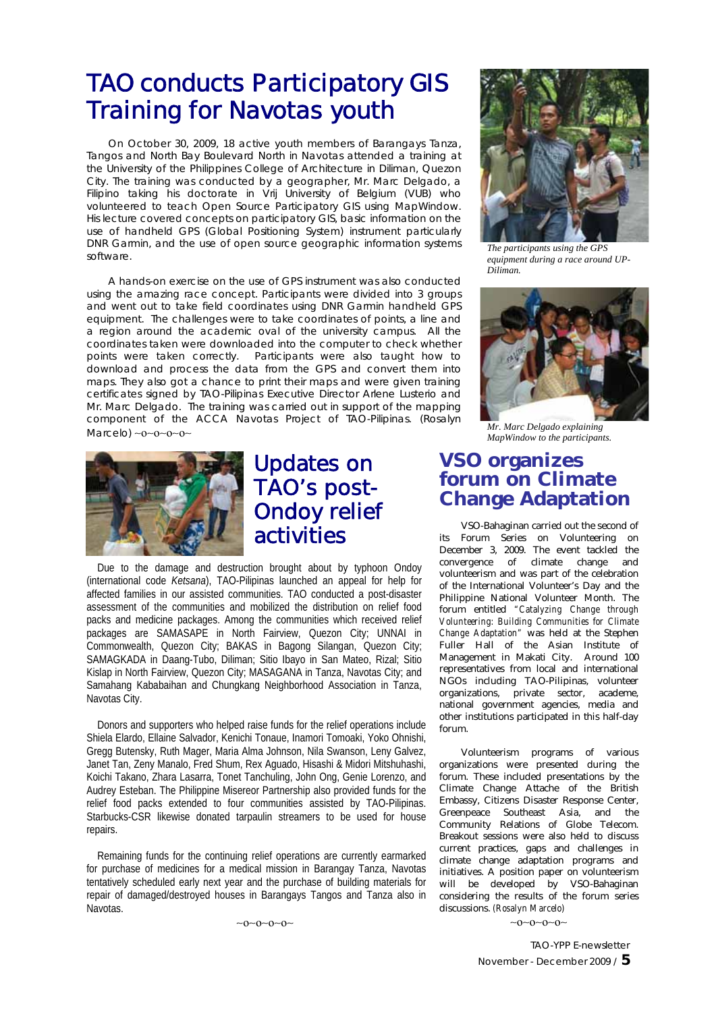# TAO conducts Participatory GIS Training for Navotas youth

On October 30, 2009, 18 active youth members of Barangays Tanza, Tangos and North Bay Boulevard North in Navotas attended a training at the University of the Philippines College of Architecture in Diliman, Quezon City. The training was conducted by a geographer, Mr. Marc Delgado, a Filipino taking his doctorate in Vrij University of Belgium (VUB) who volunteered to teach Open Source Participatory GIS using MapWindow. His lecture covered concepts on participatory GIS, basic information on the use of handheld GPS (Global Positioning System) instrument particularly DNR Garmin, and the use of open source geographic information systems software.

A hands-on exercise on the use of GPS instrument was also conducted using the amazing race concept. Participants were divided into 3 groups and went out to take field coordinates using DNR Garmin handheld GPS equipment. The challenges were to take coordinates of points, a line and a region around the academic oval of the university campus. All the coordinates taken were downloaded into the computer to check whether points were taken correctly. Participants were also taught how to download and process the data from the GPS and convert them into maps. They also got a chance to print their maps and were given training certificates signed by TAO-Pilipinas Executive Director Arlene Lusterio and Mr. Marc Delgado. The training was carried out in support of the mapping component of the ACCA Navotas Project of TAO-Pilipinas. *(Rosalyn Marcelo)* ∼o∼o∼o∼o<sup>∼</sup> *Mr. Marc Delgado explaining* 



# Updates on TAO's post-Ondoy relief activities

Due to the damage and destruction brought about by typhoon Ondoy (international code *Ketsana*), TAO-Pilipinas launched an appeal for help for affected families in our assisted communities. TAO conducted a post-disaster assessment of the communities and mobilized the distribution on relief food packs and medicine packages. Among the communities which received relief packages are SAMASAPE in North Fairview, Quezon City; UNNAI in Commonwealth, Quezon City; BAKAS in Bagong Silangan, Quezon City; SAMAGKADA in Daang-Tubo, Diliman; Sitio Ibayo in San Mateo, Rizal; Sitio Kislap in North Fairview, Quezon City; MASAGANA in Tanza, Navotas City; and Samahang Kababaihan and Chungkang Neighborhood Association in Tanza, Navotas City.

Donors and supporters who helped raise funds for the relief operations include Shiela Elardo, Ellaine Salvador, Kenichi Tonaue, Inamori Tomoaki, Yoko Ohnishi, Gregg Butensky, Ruth Mager, Maria Alma Johnson, Nila Swanson, Leny Galvez, Janet Tan, Zeny Manalo, Fred Shum, Rex Aguado, Hisashi & Midori Mitshuhashi, Koichi Takano, Zhara Lasarra, Tonet Tanchuling, John Ong, Genie Lorenzo, and Audrey Esteban. The Philippine Misereor Partnership also provided funds for the relief food packs extended to four communities assisted by TAO-Pilipinas. Starbucks-CSR likewise donated tarpaulin streamers to be used for house repairs.

Remaining funds for the continuing relief operations are currently earmarked for purchase of medicines for a medical mission in Barangay Tanza, Navotas tentatively scheduled early next year and the purchase of building materials for repair of damaged/destroyed houses in Barangays Tangos and Tanza also in Navotas.

∼o∼o∼o∼o∼



*The participants using the GPS equipment during a race around UP-Diliman.* 



*MapWindow to the participants.* 

# **VSO organizes forum on Climate Change Adaptation**

VSO-Bahaginan carried out the second of its Forum Series on Volunteering on December 3, 2009. The event tackled the convergence of climate change and volunteerism and was part of the celebration of the International Volunteer's Day and the Philippine National Volunteer Month. The forum entitled *"Catalyzing Change through Volunteering: Building Communities for Climate Change Adaptation"* was held at the Stephen Fuller Hall of the Asian Institute of Management in Makati City. Around 100 representatives from local and international NGOs including TAO-Pilipinas, volunteer organizations, private sector, academe, national government agencies, media and other institutions participated in this half-day forum.

Volunteerism programs of various organizations were presented during the forum. These included presentations by the Climate Change Attache of the British Embassy, Citizens Disaster Response Center, Greenpeace Southeast Asia, and the Community Relations of Globe Telecom. Breakout sessions were also held to discuss current practices, gaps and challenges in climate change adaptation programs and initiatives. A position paper on volunteerism will be developed by VSO-Bahaginan considering the results of the forum series discussions. *(Rosalyn Marcelo)*

∼o∼o∼o∼o∼

TAO-YPP E-newsletter November - December 2009 / **5**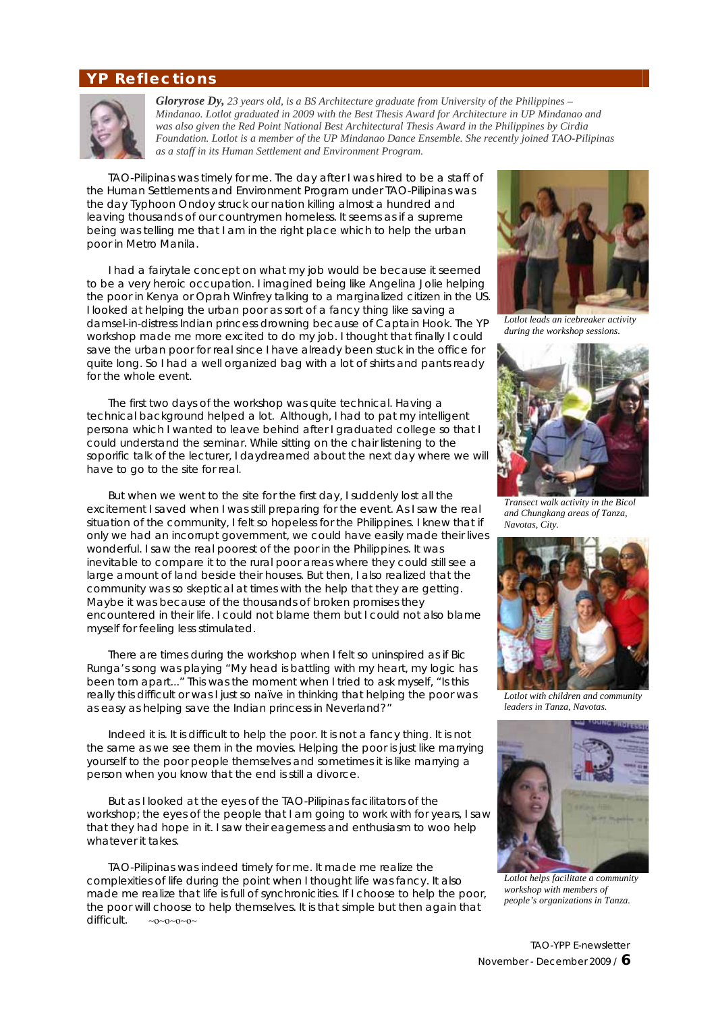## **YP Reflections**



*Gloryrose Dy, 23 years old, is a BS Architecture graduate from University of the Philippines – Mindanao. Lotlot graduated in 2009 with the Best Thesis Award for Architecture in UP Mindanao and was also given the Red Point National Best Architectural Thesis Award in the Philippines by Cirdia Foundation. Lotlot is a member of the UP Mindanao Dance Ensemble. She recently joined TAO-Pilipinas as a staff in its Human Settlement and Environment Program.* 

TAO-Pilipinas was timely for me. The day after I was hired to be a staff of the Human Settlements and Environment Program under TAO-Pilipinas was the day Typhoon Ondoy struck our nation killing almost a hundred and leaving thousands of our countrymen homeless. It seems as if a supreme being was telling me that I am in the right place which to help the urban poor in Metro Manila.

I had a fairytale concept on what my job would be because it seemed to be a very heroic occupation. I imagined being like Angelina Jolie helping the poor in Kenya or Oprah Winfrey talking to a marginalized citizen in the US. I looked at helping the urban poor as sort of a fancy thing like saving a damsel-in-distress Indian princess drowning because of Captain Hook. The YP workshop made me more excited to do my job. I thought that finally I could save the urban poor for real since I have already been stuck in the office for quite long. So I had a well organized bag with a lot of shirts and pants ready for the whole event.

The first two days of the workshop was quite technical. Having a technical background helped a lot. Although, I had to pat my intelligent persona which I wanted to leave behind after I graduated college so that I could understand the seminar. While sitting on the chair listening to the soporific talk of the lecturer, I daydreamed about the next day where we will have to go to the site for real.

But when we went to the site for the first day, I suddenly lost all the excitement I saved when I was still preparing for the event. As I saw the real situation of the community, I felt so hopeless for the Philippines. I knew that if only we had an incorrupt government, we could have easily made their lives wonderful. I saw the real poorest of the poor in the Philippines. It was inevitable to compare it to the rural poor areas where they could still see a large amount of land beside their houses. But then, I also realized that the community was so skeptical at times with the help that they are getting. Maybe it was because of the thousands of broken promises they encountered in their life. I could not blame them but I could not also blame myself for feeling less stimulated.

There are times during the workshop when I felt so uninspired as if Bic Runga's song was playing *"My head is battling with my heart, my logic has been torn apart..."* This was the moment when I tried to ask myself, "Is this really this difficult or was I just so naïve in thinking that helping the poor was as easy as helping save the Indian princess in Neverland?"

Indeed it is. It is difficult to help the poor. It is not a fancy thing. It is not the same as we see them in the movies. Helping the poor is just like marrying yourself to the poor people themselves and sometimes it is like marrying a person when you know that the end is still a divorce.

But as I looked at the eyes of the TAO-Pilipinas facilitators of the workshop; the eyes of the people that I am going to work with for years, I saw that they had hope in it. I saw their eagerness and enthusiasm to woo help whatever it takes.

TAO-Pilipinas was indeed timely for me. It made me realize the complexities of life during the point when I thought life was fancy. It also made me realize that life is full of synchronicities. If I choose to help the poor, the poor will choose to help themselves. It is that simple but then again that difficult. ∼o∼o∼o∼o∼



*Lotlot leads an icebreaker activity during the workshop sessions.* 



*Transect walk activity in the Bicol and Chungkang areas of Tanza, Navotas, City.* 



*Lotlot with children and community leaders in Tanza, Navotas.* 



*Lotlot helps facilitate a community workshop with members of people's organizations in Tanza.* 

TAO-YPP E-newsletter November - December 2009 / **6**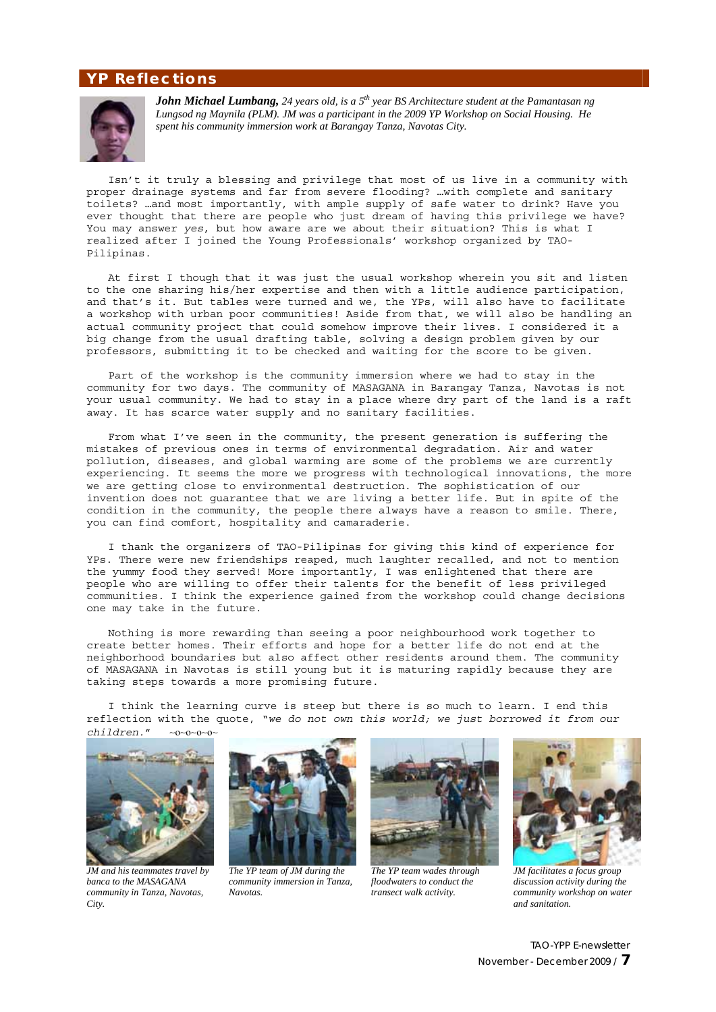## **YP Reflections**



**John Michael Lumbang,** 24 years old, is a 5<sup>th</sup> year BS Architecture student at the Pamantasan ng *Lungsod ng Maynila (PLM). JM was a participant in the 2009 YP Workshop on Social Housing. He spent his community immersion work at Barangay Tanza, Navotas City.* 

Isn't it truly a blessing and privilege that most of us live in a community with proper drainage systems and far from severe flooding? …with complete and sanitary toilets? …and most importantly, with ample supply of safe water to drink? Have you ever thought that there are people who just dream of having this privilege we have? You may answer *yes*, but how aware are we about their situation? This is what I realized after I joined the Young Professionals' workshop organized by TAO-Pilipinas.

At first I though that it was just the usual workshop wherein you sit and listen to the one sharing his/her expertise and then with a little audience participation, and that's it. But tables were turned and we, the YPs, will also have to facilitate a workshop with urban poor communities! Aside from that, we will also be handling an actual community project that could somehow improve their lives. I considered it a big change from the usual drafting table, solving a design problem given by our professors, submitting it to be checked and waiting for the score to be given.

Part of the workshop is the community immersion where we had to stay in the community for two days. The community of MASAGANA in Barangay Tanza, Navotas is not your usual community. We had to stay in a place where dry part of the land is a raft away. It has scarce water supply and no sanitary facilities.

From what I've seen in the community, the present generation is suffering the mistakes of previous ones in terms of environmental degradation. Air and water pollution, diseases, and global warming are some of the problems we are currently experiencing. It seems the more we progress with technological innovations, the more we are getting close to environmental destruction. The sophistication of our invention does not guarantee that we are living a better life. But in spite of the condition in the community, the people there always have a reason to smile. There, you can find comfort, hospitality and camaraderie.

I thank the organizers of TAO-Pilipinas for giving this kind of experience for YPs. There were new friendships reaped, much laughter recalled, and not to mention the yummy food they served! More importantly, I was enlightened that there are people who are willing to offer their talents for the benefit of less privileged communities. I think the experience gained from the workshop could change decisions one may take in the future.

Nothing is more rewarding than seeing a poor neighbourhood work together to create better homes. Their efforts and hope for a better life do not end at the neighborhood boundaries but also affect other residents around them. The community of MASAGANA in Navotas is still young but it is maturing rapidly because they are taking steps towards a more promising future.

I think the learning curve is steep but there is so much to learn. I end this reflection with the quote, "*we do not own this world; we just borrowed it from our children.*" ∼o∼o∼o∼o∼



*JM and his teammates travel by banca to the MASAGANA community in Tanza, Navotas, City.* 



*The YP team of JM during the community immersion in Tanza, Navotas.* 



*The YP team wades through floodwaters to conduct the transect walk activity.* 



*JM facilitates a focus group discussion activity during the community workshop on water and sanitation.*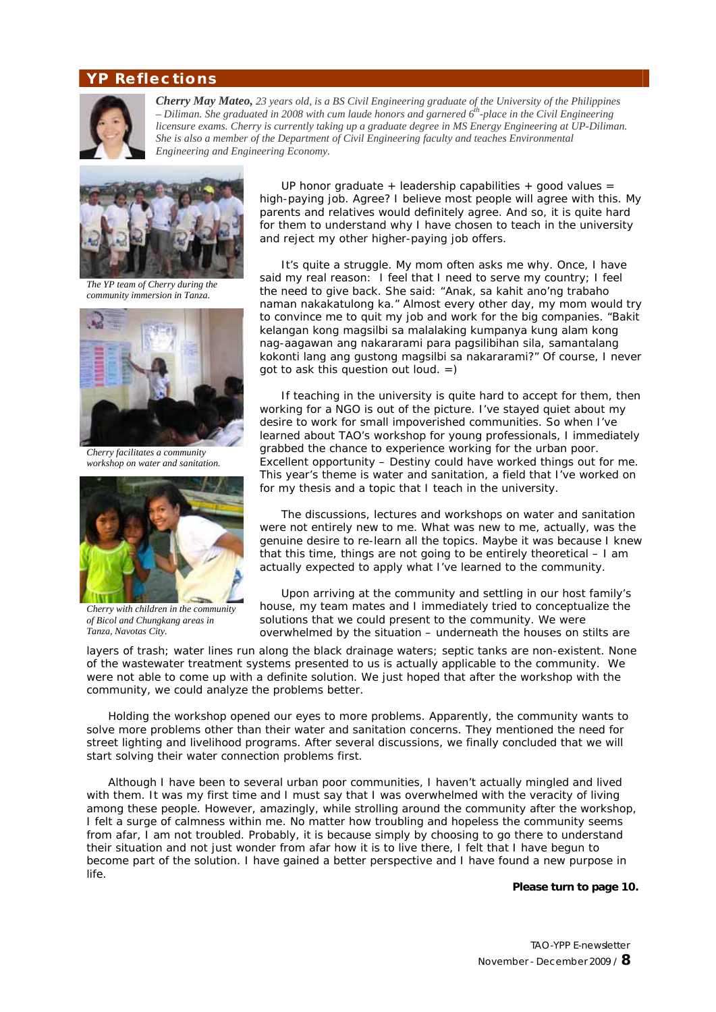## **YP Reflections**



*Cherry May Mateo, 23 years old, is a BS Civil Engineering graduate of the University of the Philippines – Diliman. She graduated in 2008 with cum laude honors and garnered 6th-place in the Civil Engineering licensure exams. Cherry is currently taking up a graduate degree in MS Energy Engineering at UP-Diliman. She is also a member of the Department of Civil Engineering faculty and teaches Environmental Engineering and Engineering Economy.* 



*The YP team of Cherry during the community immersion in Tanza.* 



*Cherry facilitates a community workshop on water and sanitation.* 



*Cherry with children in the community of Bicol and Chungkang areas in Tanza, Navotas City.* 

UP honor graduate + leadership capabilities + good values = high-paying job. Agree? I believe most people will agree with this. My parents and relatives would definitely agree. And so, it is quite hard for them to understand why I have chosen to teach in the university and reject my other higher-paying job offers.

It's quite a struggle. My mom often asks me why. Once, I have said my real reason: I feel that I need to serve my country; I feel the need to give back. She said: *"Anak, sa kahit ano'ng trabaho naman nakakatulong ka."* Almost every other day, my mom would try to convince me to quit my job and work for the big companies. "*Bakit kelangan kong magsilbi sa malalaking kumpanya kung alam kong nag-aagawan ang nakararami para pagsilibihan sila, samantalang kokonti lang ang gustong magsilbi sa nakararami?"* Of course, I never got to ask this question out loud.  $=$ )

If teaching in the university is quite hard to accept for them, then working for a NGO is out of the picture. I've stayed quiet about my desire to work for small impoverished communities. So when I've learned about TAO's workshop for young professionals, I immediately grabbed the chance to experience working for the urban poor. Excellent opportunity – Destiny could have worked things out for me. This year's theme is water and sanitation, a field that I've worked on for my thesis and a topic that I teach in the university.

The discussions, lectures and workshops on water and sanitation were not entirely new to me. What was new to me, actually, was the genuine desire to re-learn all the topics. Maybe it was because I knew that this time, things are not going to be entirely theoretical – I am actually expected to apply what I've learned to the community.

Upon arriving at the community and settling in our host family's house, my team mates and I immediately tried to conceptualize the solutions that we could present to the community. We were overwhelmed by the situation – underneath the houses on stilts are

layers of trash; water lines run along the black drainage waters; septic tanks are non-existent. None of the wastewater treatment systems presented to us is actually applicable to the community. We were not able to come up with a definite solution. We just hoped that after the workshop with the community, we could analyze the problems better.

Holding the workshop opened our eyes to more problems. Apparently, the community wants to solve more problems other than their water and sanitation concerns. They mentioned the need for street lighting and livelihood programs. After several discussions, we finally concluded that we will start solving their water connection problems first.

Although I have been to several urban poor communities, I haven't actually mingled and lived with them. It was my first time and I must say that I was overwhelmed with the veracity of living among these people. However, amazingly, while strolling around the community after the workshop, I felt a surge of calmness within me. No matter how troubling and hopeless the community seems from afar, I am not troubled. Probably, it is because simply by choosing to go there to understand their situation and not just wonder from afar how it is to live there, I felt that I have begun to become part of the solution. I have gained a better perspective and I have found a new purpose in life.

**Please turn to page 10.**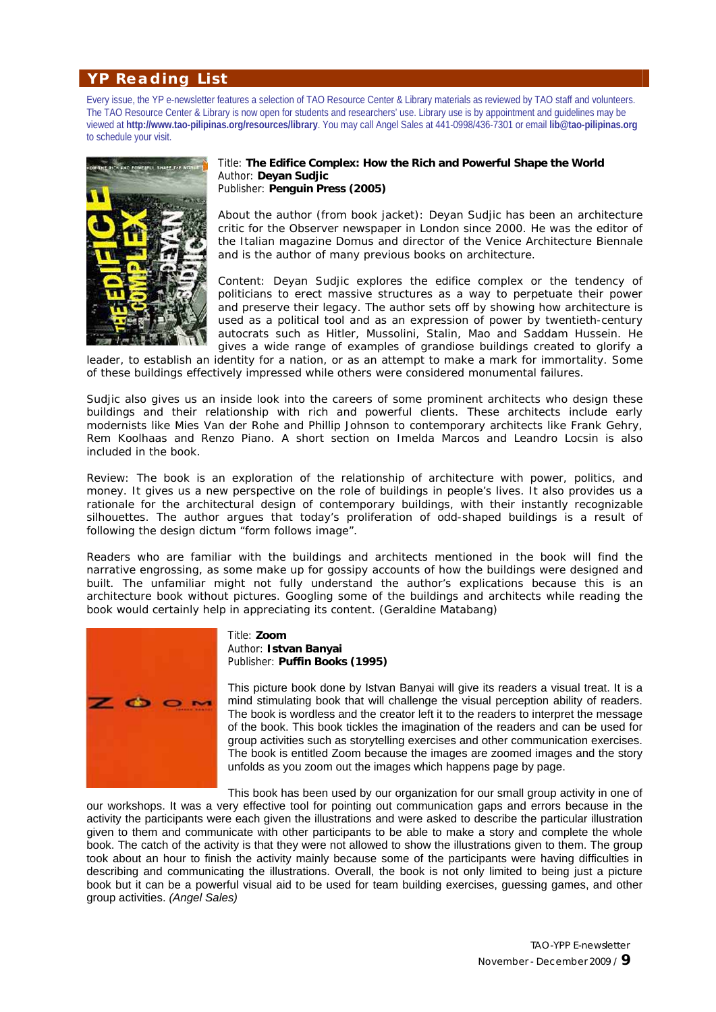# **YP Reading List**

Every issue, the YP e-newsletter features a selection of TAO Resource Center & Library materials as reviewed by TAO staff and volunteers. The TAO Resource Center & Library is now open for students and researchers' use. Library use is by appointment and guidelines may be viewed at **http://www.tao-pilipinas.org/resources/library**. You may call Angel Sales at 441-0998/436-7301 or email **lib@tao-pilipinas.org** to schedule your visit.



#### Title: **The Edifice Complex: How the Rich and Powerful Shape the World**  Author: **Deyan Sudjic** Publisher: **Penguin Press (2005)**

*About the author (from book jacket):* Deyan Sudjic has been an architecture critic for the Observer newspaper in London since 2000. He was the editor of the Italian magazine Domus and director of the Venice Architecture Biennale and is the author of many previous books on architecture.

*Content:* Deyan Sudjic explores the *edifice complex* or the tendency of politicians to erect massive structures as a way to perpetuate their power and preserve their legacy. The author sets off by showing how architecture is used as a political tool and as an expression of power by twentieth-century autocrats such as Hitler, Mussolini, Stalin, Mao and Saddam Hussein. He gives a wide range of examples of grandiose buildings created to glorify a

leader, to establish an identity for a nation, or as an attempt to make a mark for immortality. Some of these buildings effectively impressed while others were considered monumental failures.

Sudjic also gives us an inside look into the careers of some prominent architects who design these buildings and their relationship with rich and powerful clients. These architects include early modernists like Mies Van der Rohe and Phillip Johnson to contemporary architects like Frank Gehry, Rem Koolhaas and Renzo Piano. A short section on Imelda Marcos and Leandro Locsin is also included in the book.

*Review:* The book is an exploration of the relationship of architecture with power, politics, and money. It gives us a new perspective on the role of buildings in people's lives. It also provides us a rationale for the architectural design of contemporary buildings, with their instantly recognizable silhouettes. The author argues that today's proliferation of odd-shaped buildings is a result of following the design dictum "form follows image".

Readers who are familiar with the buildings and architects mentioned in the book will find the narrative engrossing, as some make up for gossipy accounts of how the buildings were designed and built. The unfamiliar might not fully understand the author's explications because this is an architecture book without pictures. *Googling* some of the buildings and architects while reading the book would certainly help in appreciating its content. *(Geraldine Matabang)*



#### Title: **Zoom** Author: **Istvan Banyai** Publisher: **Puffin Books (1995)**

This picture book done by Istvan Banyai will give its readers a visual treat. It is a mind stimulating book that will challenge the visual perception ability of readers. The book is wordless and the creator left it to the readers to interpret the message of the book. This book tickles the imagination of the readers and can be used for group activities such as storytelling exercises and other communication exercises. The book is entitled Zoom because the images are zoomed images and the story unfolds as you zoom out the images which happens page by page.

This book has been used by our organization for our small group activity in one of our workshops. It was a very effective tool for pointing out communication gaps and errors because in the activity the participants were each given the illustrations and were asked to describe the particular illustration given to them and communicate with other participants to be able to make a story and complete the whole book. The catch of the activity is that they were not allowed to show the illustrations given to them. The group took about an hour to finish the activity mainly because some of the participants were having difficulties in describing and communicating the illustrations. Overall, the book is not only limited to being just a picture book but it can be a powerful visual aid to be used for team building exercises, guessing games, and other group activities. *(Angel Sales)*